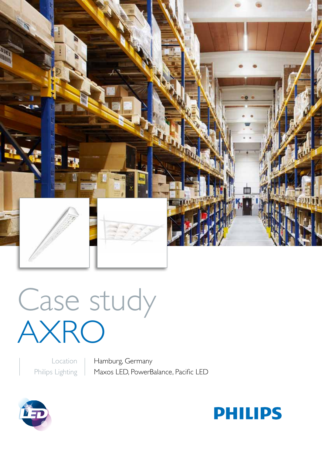

Case study AXRO

> Location Philips Lighting

Hamburg, Germany Maxos LED, PowerBalance, Pacific LED



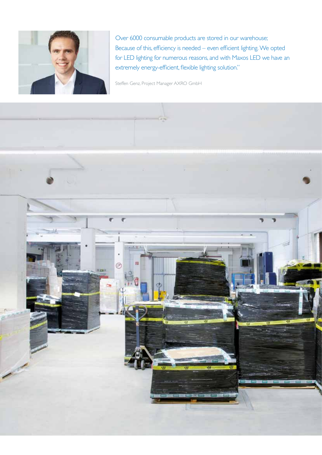

Over 6000 consumable products are stored in our warehouse; Because of this, efficiency is needed – even efficient lighting. We opted for LED lighting for numerous reasons, and with Maxos LED we have an extremely energy-efficient, flexible lighting solution."

Steffen Genz, Project Manager AXRO GmbH

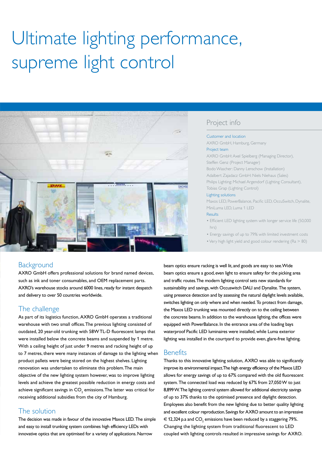# Ultimate lighting performance, supreme light control



# Project info

#### Customer and location

AXRO GmbH, Hamburg, Germany

#### Project team

AXRO GmbH: Axel Spielberg (Managing Director), Steffen Genz (Project Manager) Bodo Wascher: Danny Lenschow (Installation) Adalbert Zajadacz GmbH: Niels Niehaus (Sales) Philips Lighting: Michael Argendorf (Lighting Consultant), Tobias Grap (Lighting Control) Lighting solutions Maxos LED, PowerBalance, Pacific LED, OccuSwitch, Dynalite,

#### MiniLuma LED, Luma 1 LED Results

• Efficient LED lighting system with longer service life (50,000 hrs)

• Energy savings of up to 79% with limited investment costs

• Very high light yield and good colour rendering (Ra > 80)

## **Background**

AXRO GmbH offers professional solutions for brand named devices, such as ink and toner consumables, and OEM replacement parts. AXRO's warehouse stocks around 6000 lines, ready for instant despatch and delivery to over 50 countries worldwide.

# The challenge

As part of its logistics function, AXRO GmbH operates a traditional warehouse with two small offices. The previous lighting consisted of outdated, 20 year-old trunking with 58W TL-D fluorescent lamps that were installed below the concrete beams and suspended by 1 metre. With a ceiling height of just under 9 metres and racking height of up to 7 metres, there were many instances of damage to the lighting when product pallets were being stored on the highest shelves. Lighting renovation was undertaken to eliminate this problem. The main objective of the new lighting system however, was to improve lighting levels and achieve the greatest possible reduction in energy costs and achieve significant savings in CO $_{\textrm{\tiny{2}}}$  emissions.The latter was critical for receiving additional subsidies from the city of Hamburg.

# The solution

The decision was made in favour of the innovative Maxos LED. The simple and easy to install trunking system combines high efficiency LEDs with innovative optics that are optimised for a variety of applications. Narrow

beam optics ensure racking is well lit, and goods are easy to see.Wide beam optics ensure a good, even light to ensure safety for the picking area and traffic routes. The modern lighting control sets new standards for sustainability and savings, with Occuswitch DALI and Dynalite. The system, using presence detection and by assessing the natural daylight levels available, switches lighting on only where and when needed. To protect from damage, the Maxos LED trunking was mounted directly on to the ceiling between the concrete beams. In addition to the warehouse lighting, the offices were equipped with PowerBalance. In the entrance area of the loading bays waterproof Pacific LED luminaires were installed, while Luma exterior lighting was installed in the courtyard to provide even, glare-free lighting.

### **Benefits**

Thanks to this innovative lighting solution, AXRO was able to significantly improve its environmental impact. The high energy efficiency of the Maxos LED allows for energy savings of up to 67% compared with the old fluorescent system. The connected load was reduced by 67% from 27,050 W to just 8,899 W. The lighting control system allowed for additional electricity savings of up to 37% thanks to the optimised presence and daylight detection. Employees also benefit from the new lighting due to better quality lighting and excellent colour reproduction. Savings for AXRO amount to an impressive  $\in$  12,324 p.a and CO<sub>2</sub> emissions have been reduced by a staggering 79%. Changing the lighting system from traditional fluorescent to LED coupled with lighting controls resulted in impressive savings for AXRO.